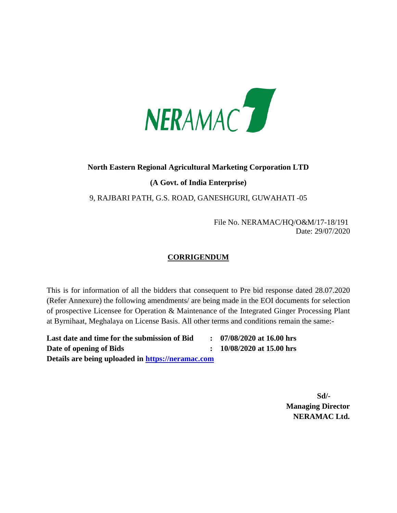

## **North Eastern Regional Agricultural Marketing Corporation LTD**

## **(A Govt. of India Enterprise)**

9, RAJBARI PATH, G.S. ROAD, GANESHGURI, GUWAHATI -05

 File No. NERAMAC/HQ/O&M/17-18/191 Date: 29/07/2020

## **CORRIGENDUM**

This is for information of all the bidders that consequent to Pre bid response dated 28.07.2020 (Refer Annexure) the following amendments/ are being made in the EOI documents for selection of prospective Licensee for Operation & Maintenance of the Integrated Ginger Processing Plant at Byrnihaat, Meghalaya on License Basis. All other terms and conditions remain the same:-

**Last date and time for the submission of Bid : 07/08/2020 at 16.00 hrs Date of opening of Bids : 10/08/2020 at 15.00 hrs Details are being uploaded in [https://neramac.com](https://neramac.com/)**

 **Sd/- Managing Director NERAMAC Ltd.**